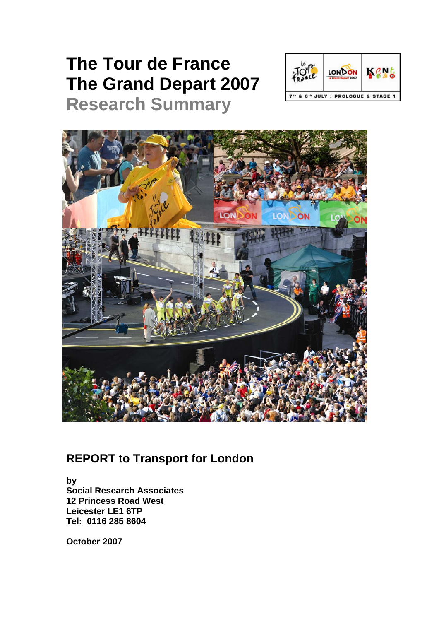# **The Tour de France The Grand Depart 2007**



# **Research Summary**



# **REPORT to Transport for London**

**by Social Research Associates 12 Princess Road West Leicester LE1 6TP Tel: 0116 285 8604** 

**October 2007**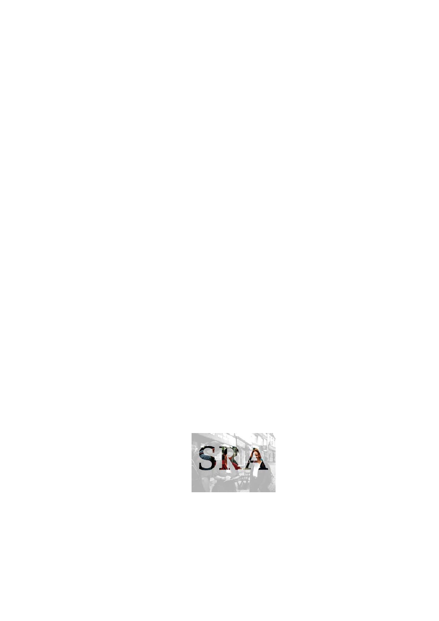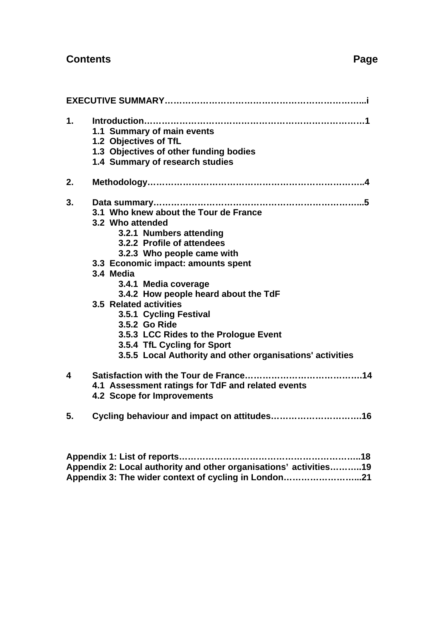| $\mathbf 1$ . | 1.1 Summary of main events<br>1.2 Objectives of TfL<br>1.3 Objectives of other funding bodies<br>1.4 Summary of research studies                                                                                                                                                                                                                                                                                                                                              |
|---------------|-------------------------------------------------------------------------------------------------------------------------------------------------------------------------------------------------------------------------------------------------------------------------------------------------------------------------------------------------------------------------------------------------------------------------------------------------------------------------------|
| 2.            |                                                                                                                                                                                                                                                                                                                                                                                                                                                                               |
| 3.            | 3.1 Who knew about the Tour de France<br>3.2 Who attended<br>3.2.1 Numbers attending<br>3.2.2 Profile of attendees<br>3.2.3 Who people came with<br>3.3 Economic impact: amounts spent<br>3.4 Media<br>3.4.1 Media coverage<br>3.4.2 How people heard about the TdF<br>3.5 Related activities<br>3.5.1 Cycling Festival<br>3.5.2 Go Ride<br>3.5.3 LCC Rides to the Prologue Event<br>3.5.4 TfL Cycling for Sport<br>3.5.5 Local Authority and other organisations' activities |
| 4             | 4.1 Assessment ratings for TdF and related events<br>4.2 Scope for Improvements                                                                                                                                                                                                                                                                                                                                                                                               |
| 5.            |                                                                                                                                                                                                                                                                                                                                                                                                                                                                               |

**Appendix 1: List of reports……………………………………………………..18 Appendix 2: Local authority and other organisations' activities………..19 Appendix 3: The wider context of cycling in London……………………...21**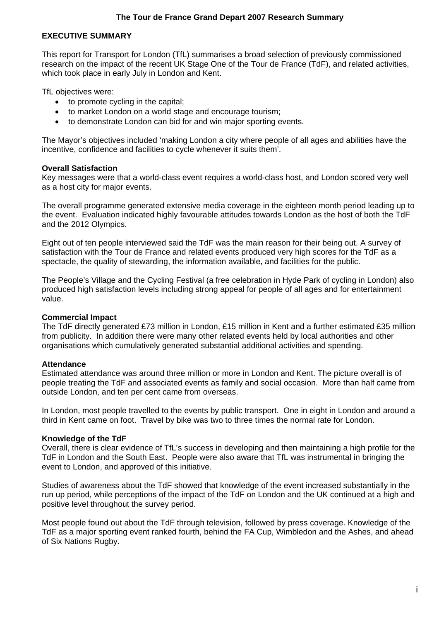#### **EXECUTIVE SUMMARY**

This report for Transport for London (TfL) summarises a broad selection of previously commissioned research on the impact of the recent UK Stage One of the Tour de France (TdF), and related activities, which took place in early July in London and Kent.

TfL objectives were:

- to promote cycling in the capital;
- to market London on a world stage and encourage tourism;
- to demonstrate London can bid for and win major sporting events.

The Mayor's objectives included 'making London a city where people of all ages and abilities have the incentive, confidence and facilities to cycle whenever it suits them'.

#### **Overall Satisfaction**

Key messages were that a world-class event requires a world-class host, and London scored very well as a host city for major events.

The overall programme generated extensive media coverage in the eighteen month period leading up to the event. Evaluation indicated highly favourable attitudes towards London as the host of both the TdF and the 2012 Olympics.

Eight out of ten people interviewed said the TdF was the main reason for their being out. A survey of satisfaction with the Tour de France and related events produced very high scores for the TdF as a spectacle, the quality of stewarding, the information available, and facilities for the public.

The People's Village and the Cycling Festival (a free celebration in Hyde Park of cycling in London) also produced high satisfaction levels including strong appeal for people of all ages and for entertainment value.

#### **Commercial Impact**

The TdF directly generated £73 million in London, £15 million in Kent and a further estimated £35 million from publicity. In addition there were many other related events held by local authorities and other organisations which cumulatively generated substantial additional activities and spending.

#### **Attendance**

Estimated attendance was around three million or more in London and Kent. The picture overall is of people treating the TdF and associated events as family and social occasion. More than half came from outside London, and ten per cent came from overseas.

In London, most people travelled to the events by public transport. One in eight in London and around a third in Kent came on foot. Travel by bike was two to three times the normal rate for London.

#### **Knowledge of the TdF**

Overall, there is clear evidence of TfL's success in developing and then maintaining a high profile for the TdF in London and the South East. People were also aware that TfL was instrumental in bringing the event to London, and approved of this initiative.

Studies of awareness about the TdF showed that knowledge of the event increased substantially in the run up period, while perceptions of the impact of the TdF on London and the UK continued at a high and positive level throughout the survey period.

Most people found out about the TdF through television, followed by press coverage. Knowledge of the TdF as a major sporting event ranked fourth, behind the FA Cup, Wimbledon and the Ashes, and ahead of Six Nations Rugby.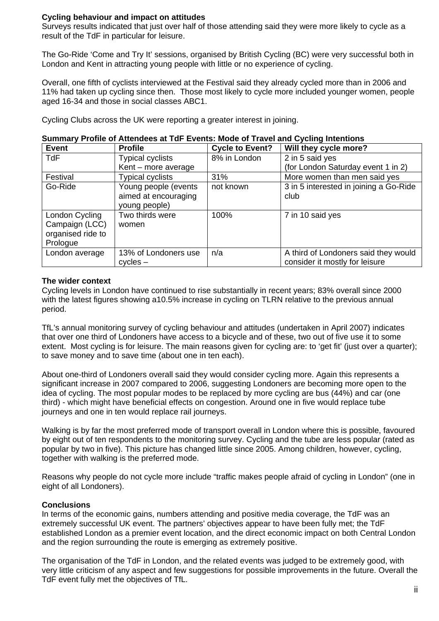#### **Cycling behaviour and impact on attitudes**

Surveys results indicated that just over half of those attending said they were more likely to cycle as a result of the TdF in particular for leisure.

The Go-Ride 'Come and Try It' sessions, organised by British Cycling (BC) were very successful both in London and Kent in attracting young people with little or no experience of cycling.

Overall, one fifth of cyclists interviewed at the Festival said they already cycled more than in 2006 and 11% had taken up cycling since then. Those most likely to cycle more included younger women, people aged 16-34 and those in social classes ABC1.

Cycling Clubs across the UK were reporting a greater interest in joining.

| <b>Event</b>      | <b>Profile</b>          | <b>Cycle to Event?</b> | Will they cycle more?                  |
|-------------------|-------------------------|------------------------|----------------------------------------|
| <b>TdF</b>        | <b>Typical cyclists</b> | 8% in London           | 2 in 5 said yes                        |
|                   | Kent - more average     |                        | (for London Saturday event 1 in 2)     |
| Festival          | <b>Typical cyclists</b> | 31%                    | More women than men said yes           |
| Go-Ride           | Young people (events    | not known              | 3 in 5 interested in joining a Go-Ride |
|                   | aimed at encouraging    |                        | club                                   |
|                   | young people)           |                        |                                        |
| London Cycling    | Two thirds were         | 100%                   | 7 in 10 said yes                       |
| Campaign (LCC)    | women                   |                        |                                        |
| organised ride to |                         |                        |                                        |
| Prologue          |                         |                        |                                        |
| London average    | 13% of Londoners use    | n/a                    | A third of Londoners said they would   |
|                   | $cycles -$              |                        | consider it mostly for leisure         |

#### **Summary Profile of Attendees at TdF Events: Mode of Travel and Cycling Intentions**

#### **The wider context**

Cycling levels in London have continued to rise substantially in recent years; 83% overall since 2000 with the latest figures showing a10.5% increase in cycling on TLRN relative to the previous annual period.

TfL's annual monitoring survey of cycling behaviour and attitudes (undertaken in April 2007) indicates that over one third of Londoners have access to a bicycle and of these, two out of five use it to some extent. Most cycling is for leisure. The main reasons given for cycling are: to 'get fit' (just over a quarter); to save money and to save time (about one in ten each).

About one-third of Londoners overall said they would consider cycling more. Again this represents a significant increase in 2007 compared to 2006, suggesting Londoners are becoming more open to the idea of cycling. The most popular modes to be replaced by more cycling are bus (44%) and car (one third) - which might have beneficial effects on congestion. Around one in five would replace tube journeys and one in ten would replace rail journeys.

Walking is by far the most preferred mode of transport overall in London where this is possible, favoured by eight out of ten respondents to the monitoring survey. Cycling and the tube are less popular (rated as popular by two in five). This picture has changed little since 2005. Among children, however, cycling, together with walking is the preferred mode.

Reasons why people do not cycle more include "traffic makes people afraid of cycling in London" (one in eight of all Londoners).

#### **Conclusions**

In terms of the economic gains, numbers attending and positive media coverage, the TdF was an extremely successful UK event. The partners' objectives appear to have been fully met; the TdF established London as a premier event location, and the direct economic impact on both Central London and the region surrounding the route is emerging as extremely positive.

The organisation of the TdF in London, and the related events was judged to be extremely good, with very little criticism of any aspect and few suggestions for possible improvements in the future. Overall the TdF event fully met the objectives of TfL.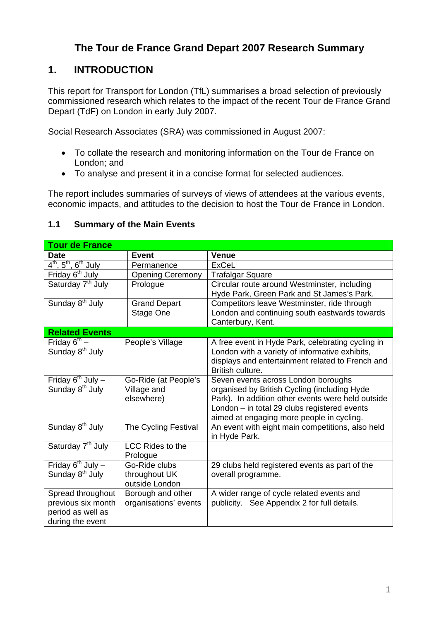# **The Tour de France Grand Depart 2007 Research Summary**

# **1. INTRODUCTION**

This report for Transport for London (TfL) summarises a broad selection of previously commissioned research which relates to the impact of the recent Tour de France Grand Depart (TdF) on London in early July 2007.

Social Research Associates (SRA) was commissioned in August 2007:

- To collate the research and monitoring information on the Tour de France on London; and
- To analyse and present it in a concise format for selected audiences.

The report includes summaries of surveys of views of attendees at the various events, economic impacts, and attitudes to the decision to host the Tour de France in London.

#### **1.1 Summary of the Main Events**

| <b>Tour de France</b>                                                            |                                                   |                                                                                                                                                                                                                                       |
|----------------------------------------------------------------------------------|---------------------------------------------------|---------------------------------------------------------------------------------------------------------------------------------------------------------------------------------------------------------------------------------------|
| <b>Date</b>                                                                      | <b>Event</b>                                      | <b>Venue</b>                                                                                                                                                                                                                          |
| $4^{\text{th}}$ , 5 <sup>th</sup> , 6 <sup>th</sup> July                         | Permanence                                        | <b>ExCeL</b>                                                                                                                                                                                                                          |
| Friday 6 <sup>th</sup> July                                                      | <b>Opening Ceremony</b>                           | <b>Trafalgar Square</b>                                                                                                                                                                                                               |
| Saturday 7 <sup>th</sup> July                                                    | Prologue                                          | Circular route around Westminster, including<br>Hyde Park, Green Park and St James's Park.                                                                                                                                            |
| Sunday 8 <sup>th</sup> July                                                      | <b>Grand Depart</b><br>Stage One                  | Competitors leave Westminster, ride through<br>London and continuing south eastwards towards<br>Canterbury, Kent.                                                                                                                     |
| <b>Related Events</b>                                                            |                                                   |                                                                                                                                                                                                                                       |
| Friday $6^{th}$ –<br>Sunday 8 <sup>th</sup> July                                 | People's Village                                  | A free event in Hyde Park, celebrating cycling in<br>London with a variety of informative exhibits,<br>displays and entertainment related to French and<br>British culture.                                                           |
| Friday $6^{th}$ July -<br>Sunday 8 <sup>th</sup> July                            | Go-Ride (at People's<br>Village and<br>elsewhere) | Seven events across London boroughs<br>organised by British Cycling (including Hyde<br>Park). In addition other events were held outside<br>London - in total 29 clubs registered events<br>aimed at engaging more people in cycling. |
| Sunday 8 <sup>th</sup> July                                                      | The Cycling Festival                              | An event with eight main competitions, also held<br>in Hyde Park.                                                                                                                                                                     |
| Saturday 7 <sup>th</sup> July                                                    | LCC Rides to the<br>Prologue                      |                                                                                                                                                                                                                                       |
| Friday $6^{th}$ July -<br>Sunday 8 <sup>th</sup> July                            | Go-Ride clubs<br>throughout UK<br>outside London  | 29 clubs held registered events as part of the<br>overall programme.                                                                                                                                                                  |
| Spread throughout<br>previous six month<br>period as well as<br>during the event | Borough and other<br>organisations' events        | A wider range of cycle related events and<br>publicity. See Appendix 2 for full details.                                                                                                                                              |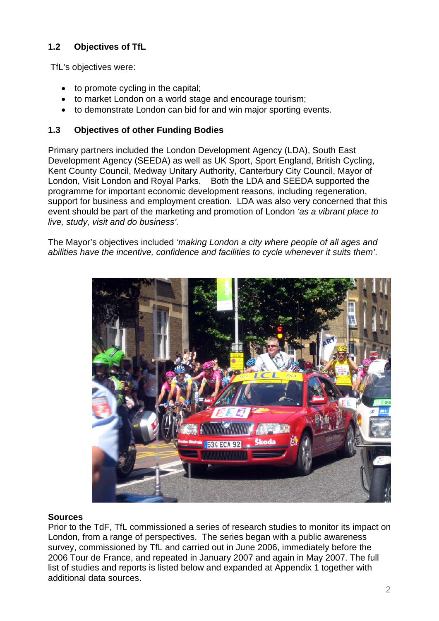# **1.2 Objectives of TfL**

TfL's objectives were:

- to promote cycling in the capital;
- to market London on a world stage and encourage tourism;
- to demonstrate London can bid for and win major sporting events.

#### **1.3 Objectives of other Funding Bodies**

Primary partners included the London Development Agency (LDA), South East Development Agency (SEEDA) as well as UK Sport, Sport England, British Cycling, Kent County Council, Medway Unitary Authority, Canterbury City Council, Mayor of London, Visit London and Royal Parks. Both the LDA and SEEDA supported the programme for important economic development reasons, including regeneration, support for business and employment creation. LDA was also very concerned that this event should be part of the marketing and promotion of London *'as a vibrant place to live, study, visit and do business'.* 

The Mayor's objectives included *'making London a city where people of all ages and abilities have the incentive, confidence and facilities to cycle whenever it suits them'*.



#### **Sources**

Prior to the TdF, TfL commissioned a series of research studies to monitor its impact on London, from a range of perspectives. The series began with a public awareness survey, commissioned by TfL and carried out in June 2006, immediately before the 2006 Tour de France, and repeated in January 2007 and again in May 2007. The full list of studies and reports is listed below and expanded at Appendix 1 together with additional data sources.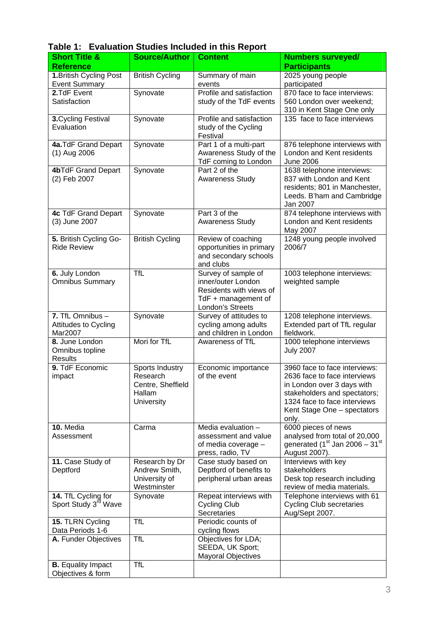| Table 1: Evaluation Studies Included in this Report |  |  |
|-----------------------------------------------------|--|--|
|                                                     |  |  |

| <b>Short Title &amp;</b>                                | <b>Source/Author</b>                                                            | <b>Content</b>                                                                                                  | <b>Numbers surveyed/</b>                                                                                                                                                                            |
|---------------------------------------------------------|---------------------------------------------------------------------------------|-----------------------------------------------------------------------------------------------------------------|-----------------------------------------------------------------------------------------------------------------------------------------------------------------------------------------------------|
| <b>Reference</b>                                        |                                                                                 |                                                                                                                 | <b>Participants</b>                                                                                                                                                                                 |
| 1. British Cycling Post<br><b>Event Summary</b>         | <b>British Cycling</b>                                                          | Summary of main<br>events                                                                                       | 2025 young people<br>participated                                                                                                                                                                   |
| 2.TdF Event<br>Satisfaction                             | Synovate                                                                        | Profile and satisfaction<br>study of the TdF events                                                             | 870 face to face interviews:<br>560 London over weekend;<br>310 in Kent Stage One only                                                                                                              |
| 3. Cycling Festival<br>Evaluation                       | Synovate                                                                        | Profile and satisfaction<br>study of the Cycling<br>Festival                                                    | 135 face to face interviews                                                                                                                                                                         |
| 4a.TdF Grand Depart<br>(1) Aug 2006                     | Synovate                                                                        | Part 1 of a multi-part<br>Awareness Study of the<br>TdF coming to London                                        | 876 telephone interviews with<br>London and Kent residents<br><b>June 2006</b>                                                                                                                      |
| 4bTdF Grand Depart<br>(2) Feb 2007                      | Synovate                                                                        | Part 2 of the<br><b>Awareness Study</b>                                                                         | 1638 telephone interviews:<br>837 with London and Kent<br>residents; 801 in Manchester,<br>Leeds. B'ham and Cambridge<br>Jan 2007                                                                   |
| 4c TdF Grand Depart<br>(3) June 2007                    | Synovate                                                                        | Part 3 of the<br><b>Awareness Study</b>                                                                         | 874 telephone interviews with<br>London and Kent residents<br>May 2007                                                                                                                              |
| 5. British Cycling Go-<br><b>Ride Review</b>            | <b>British Cycling</b>                                                          | Review of coaching<br>opportunities in primary<br>and secondary schools<br>and clubs                            | 1248 young people involved<br>2006/7                                                                                                                                                                |
| 6. July London<br><b>Omnibus Summary</b>                | <b>TfL</b>                                                                      | Survey of sample of<br>inner/outer London<br>Residents with views of<br>TdF + management of<br>London's Streets | 1003 telephone interviews:<br>weighted sample                                                                                                                                                       |
| 7. TfL Omnibus -<br>Attitudes to Cycling<br>Mar2007     | Synovate                                                                        | Survey of attitudes to<br>cycling among adults<br>and children in London                                        | 1208 telephone interviews.<br>Extended part of TfL regular<br>fieldwork.                                                                                                                            |
| 8. June London<br>Omnibus topline<br><b>Results</b>     | Mori for TfL                                                                    | Awareness of TfL                                                                                                | 1000 telephone interviews<br><b>July 2007</b>                                                                                                                                                       |
| 9. TdF Economic<br>impact                               | <b>Sports Industry</b><br>Research<br>Centre, Sheffield<br>Hallam<br>University | Economic importance<br>of the event                                                                             | 3960 face to face interviews:<br>2636 face to face interviews<br>in London over 3 days with<br>stakeholders and spectators;<br>1324 face to face interviews<br>Kent Stage One - spectators<br>only. |
| 10. Media<br>Assessment                                 | Carma                                                                           | Media evaluation -<br>assessment and value<br>of media coverage -<br>press, radio, TV                           | 6000 pieces of news<br>analysed from total of 20,000<br>generated ( $1st$ Jan 2006 - 31 <sup>st</sup><br>August 2007).                                                                              |
| 11. Case Study of<br>Deptford                           | Research by Dr<br>Andrew Smith,<br>University of<br>Westminster                 | Case study based on<br>Deptford of benefits to<br>peripheral urban areas                                        | Interviews with key<br>stakeholders<br>Desk top research including<br>review of media materials.                                                                                                    |
| 14. TfL Cycling for<br>Sport Study 3 <sup>rd</sup> Wave | Synovate                                                                        | Repeat interviews with<br><b>Cycling Club</b><br>Secretaries                                                    | Telephone interviews with 61<br><b>Cycling Club secretaries</b><br>Aug/Sept 2007.                                                                                                                   |
| 15. TLRN Cycling<br>Data Periods 1-6                    | <b>TfL</b>                                                                      | Periodic counts of<br>cycling flows                                                                             |                                                                                                                                                                                                     |
| A. Funder Objectives                                    | <b>TfL</b>                                                                      | Objectives for LDA;<br>SEEDA, UK Sport;<br><b>Mayoral Objectives</b>                                            |                                                                                                                                                                                                     |
| <b>B.</b> Equality Impact<br>Objectives & form          | <b>TfL</b>                                                                      |                                                                                                                 |                                                                                                                                                                                                     |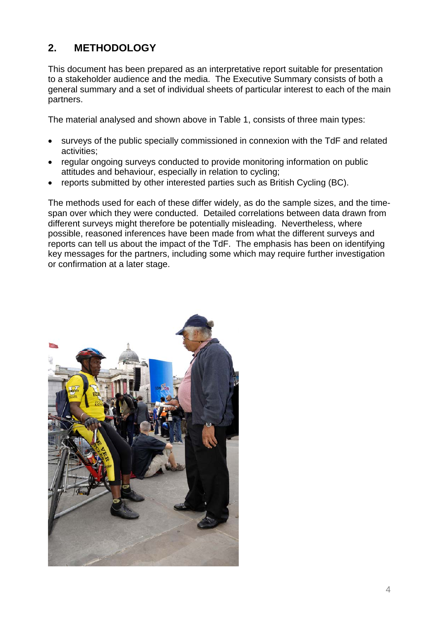# **2. METHODOLOGY**

This document has been prepared as an interpretative report suitable for presentation to a stakeholder audience and the media. The Executive Summary consists of both a general summary and a set of individual sheets of particular interest to each of the main partners.

The material analysed and shown above in Table 1, consists of three main types:

- surveys of the public specially commissioned in connexion with the TdF and related activities;
- regular ongoing surveys conducted to provide monitoring information on public attitudes and behaviour, especially in relation to cycling;
- reports submitted by other interested parties such as British Cycling (BC).

The methods used for each of these differ widely, as do the sample sizes, and the timespan over which they were conducted. Detailed correlations between data drawn from different surveys might therefore be potentially misleading. Nevertheless, where possible, reasoned inferences have been made from what the different surveys and reports can tell us about the impact of the TdF. The emphasis has been on identifying key messages for the partners, including some which may require further investigation or confirmation at a later stage.

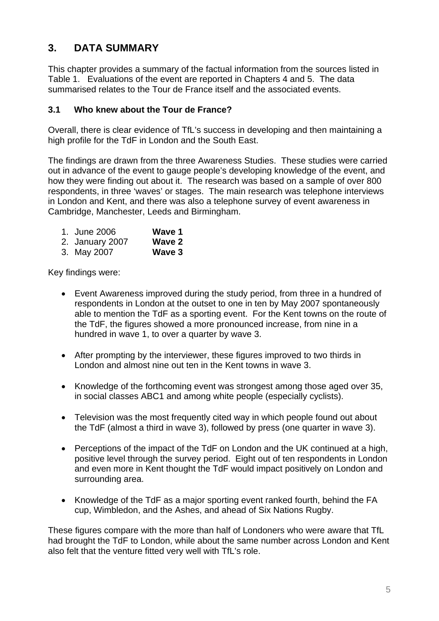# **3. DATA SUMMARY**

This chapter provides a summary of the factual information from the sources listed in Table 1. Evaluations of the event are reported in Chapters 4 and 5. The data summarised relates to the Tour de France itself and the associated events.

#### **3.1 Who knew about the Tour de France?**

Overall, there is clear evidence of TfL's success in developing and then maintaining a high profile for the TdF in London and the South East.

The findings are drawn from the three Awareness Studies. These studies were carried out in advance of the event to gauge people's developing knowledge of the event, and how they were finding out about it. The research was based on a sample of over 800 respondents, in three 'waves' or stages. The main research was telephone interviews in London and Kent, and there was also a telephone survey of event awareness in Cambridge, Manchester, Leeds and Birmingham.

| 1. June 2006 | Wave 1 |
|--------------|--------|
|              |        |

- 2. January 2007 **Wave 2**
- 3. May 2007 **Wave 3**

Key findings were:

- Event Awareness improved during the study period, from three in a hundred of respondents in London at the outset to one in ten by May 2007 spontaneously able to mention the TdF as a sporting event. For the Kent towns on the route of the TdF, the figures showed a more pronounced increase, from nine in a hundred in wave 1, to over a quarter by wave 3.
- After prompting by the interviewer, these figures improved to two thirds in London and almost nine out ten in the Kent towns in wave 3.
- Knowledge of the forthcoming event was strongest among those aged over 35, in social classes ABC1 and among white people (especially cyclists).
- Television was the most frequently cited way in which people found out about the TdF (almost a third in wave 3), followed by press (one quarter in wave 3).
- Perceptions of the impact of the TdF on London and the UK continued at a high, positive level through the survey period. Eight out of ten respondents in London and even more in Kent thought the TdF would impact positively on London and surrounding area.
- Knowledge of the TdF as a major sporting event ranked fourth, behind the FA cup, Wimbledon, and the Ashes, and ahead of Six Nations Rugby.

These figures compare with the more than half of Londoners who were aware that TfL had brought the TdF to London, while about the same number across London and Kent also felt that the venture fitted very well with TfL's role.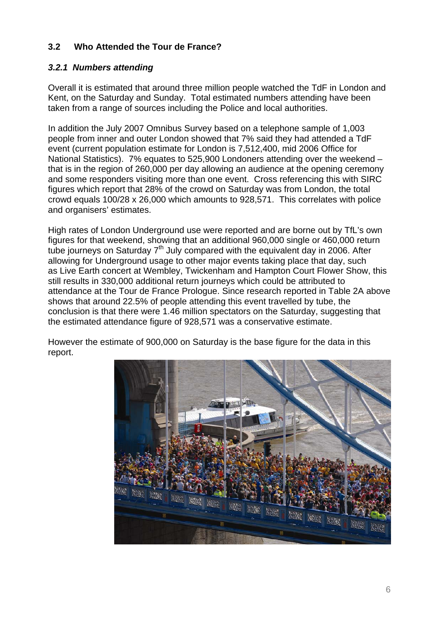# **3.2 Who Attended the Tour de France?**

#### *3.2.1 Numbers attending*

Overall it is estimated that around three million people watched the TdF in London and Kent, on the Saturday and Sunday. Total estimated numbers attending have been taken from a range of sources including the Police and local authorities.

In addition the July 2007 Omnibus Survey based on a telephone sample of 1,003 people from inner and outer London showed that 7% said they had attended a TdF event (current population estimate for London is 7,512,400, mid 2006 Office for National Statistics). 7% equates to 525,900 Londoners attending over the weekend – that is in the region of 260,000 per day allowing an audience at the opening ceremony and some responders visiting more than one event. Cross referencing this with SIRC figures which report that 28% of the crowd on Saturday was from London, the total crowd equals 100/28 x 26,000 which amounts to 928,571. This correlates with police and organisers' estimates.

High rates of London Underground use were reported and are borne out by TfL's own figures for that weekend, showing that an additional 960,000 single or 460,000 return tube journeys on Saturday  $7<sup>th</sup>$  July compared with the equivalent day in 2006. After allowing for Underground usage to other major events taking place that day, such as Live Earth concert at Wembley, Twickenham and Hampton Court Flower Show, this still results in 330,000 additional return journeys which could be attributed to attendance at the Tour de France Prologue. Since research reported in Table 2A above shows that around 22.5% of people attending this event travelled by tube, the conclusion is that there were 1.46 million spectators on the Saturday, suggesting that the estimated attendance figure of 928,571 was a conservative estimate.

However the estimate of 900,000 on Saturday is the base figure for the data in this report.

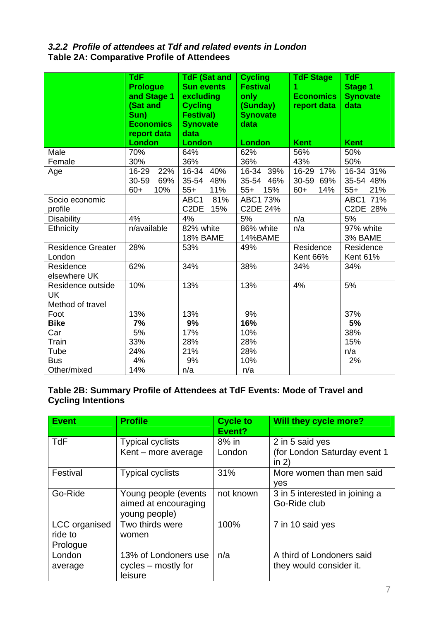#### *3.2.2 Profile of attendees at Tdf and related events in London*  **Table 2A: Comparative Profile of Attendees**

|                           | <b>TdF</b><br><b>Prologue</b> | <b>TdF (Sat and</b><br><b>Sun events</b> | <b>Cycling</b><br><b>Festival</b> | <b>TdF Stage</b><br>1 | <b>TdF</b><br><b>Stage 1</b> |
|---------------------------|-------------------------------|------------------------------------------|-----------------------------------|-----------------------|------------------------------|
|                           | and Stage 1                   | excluding                                | only                              | <b>Economics</b>      | <b>Synovate</b>              |
|                           | (Sat and                      | <b>Cycling</b>                           | (Sunday)                          | report data           | data                         |
|                           | Sun)<br><b>Economics</b>      | <b>Festival)</b><br><b>Synovate</b>      | <b>Synovate</b><br>data           |                       |                              |
|                           | report data                   | data                                     |                                   |                       |                              |
|                           | London                        | <b>London</b>                            | <b>London</b>                     | <b>Kent</b>           | <b>Kent</b>                  |
| Male                      | 70%                           | 64%                                      | 62%                               | 56%                   | 50%                          |
| Female                    | 30%                           | 36%                                      | 36%                               | 43%                   | 50%                          |
| Age                       | 16-29<br>22%                  | 16-34 40%                                | 16-34 39%                         | 16-29<br>17%          | 16-34 31%                    |
|                           | 30-59<br>69%                  | 35-54<br>48%                             | 35-54 46%                         | 30-59<br>69%          | 35-54 48%                    |
|                           | $60+$<br>10%                  | 11%<br>$55+$                             | $55+$<br>15%                      | $60+$<br>14%          | $55+$<br>21%                 |
| Socio economic            |                               | 81%<br>ABC1                              | ABC1 73%                          |                       | ABC1 71%                     |
| profile                   |                               | C <sub>2</sub> DE<br>15%                 | C2DE 24%                          |                       | C2DE 28%                     |
| <b>Disability</b>         | 4%                            | 4%                                       | 5%                                | n/a                   | 5%                           |
| Ethnicity                 | n/available                   | 82% white                                | 86% white                         | n/a                   | 97% white                    |
|                           |                               | <b>18% BAME</b>                          | 14%BAME                           |                       | 3% BAME                      |
| <b>Residence Greater</b>  | 28%                           | 53%                                      | 49%                               | Residence             | Residence                    |
| London                    |                               |                                          |                                   | <b>Kent 66%</b>       | <b>Kent 61%</b>              |
| Residence                 | 62%                           | 34%                                      | 38%                               | 34%                   | 34%                          |
| elsewhere UK              |                               |                                          |                                   |                       |                              |
| Residence outside         | 10%                           | 13%                                      | 13%                               | 4%                    | 5%                           |
| <b>UK</b>                 |                               |                                          |                                   |                       |                              |
| Method of travel          |                               |                                          |                                   |                       |                              |
| Foot                      | 13%                           | 13%                                      | 9%                                |                       | 37%                          |
| <b>Bike</b>               | 7%                            | 9%                                       | 16%                               |                       | 5%                           |
| Car                       | 5%                            | 17%                                      | 10%                               |                       | 38%                          |
| Train                     | 33%<br>24%                    | 28%                                      | 28%<br>28%                        |                       | 15%                          |
| Tube                      |                               | 21%                                      |                                   |                       | n/a                          |
|                           |                               |                                          |                                   |                       |                              |
| <b>Bus</b><br>Other/mixed | 4%<br>14%                     | 9%<br>n/a                                | 10%<br>n/a                        |                       | 2%                           |

# **Table 2B: Summary Profile of Attendees at TdF Events: Mode of Travel and Cycling Intentions**

| <b>Event</b>                         | <b>Profile</b>                                                | <b>Cycle to</b><br>Event? | <b>Will they cycle more?</b>                               |
|--------------------------------------|---------------------------------------------------------------|---------------------------|------------------------------------------------------------|
| <b>TdF</b>                           | <b>Typical cyclists</b><br>Kent - more average                | 8% in<br>London           | 2 in 5 said yes<br>(for London Saturday event 1<br>in $2)$ |
| Festival                             | <b>Typical cyclists</b>                                       | 31%                       | More women than men said<br>ves                            |
| Go-Ride                              | Young people (events<br>aimed at encouraging<br>young people) | not known                 | 3 in 5 interested in joining a<br>Go-Ride club             |
| LCC organised<br>ride to<br>Prologue | Two thirds were<br>women                                      | 100%                      | 7 in 10 said yes                                           |
| London<br>average                    | 13% of Londoners use<br>cycles – mostly for<br>leisure        | n/a                       | A third of Londoners said<br>they would consider it.       |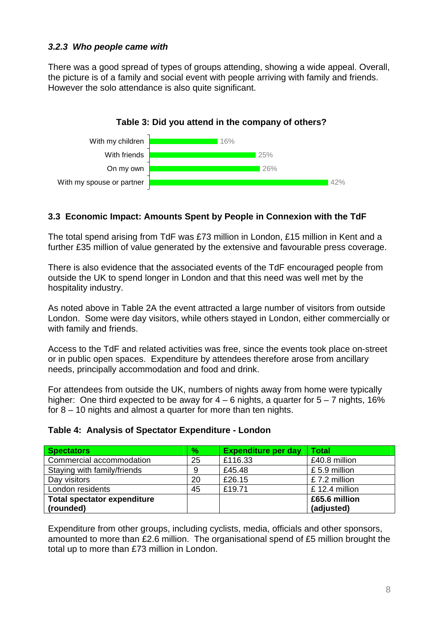#### *3.2.3 Who people came with*

There was a good spread of types of groups attending, showing a wide appeal. Overall, the picture is of a family and social event with people arriving with family and friends. However the solo attendance is also quite significant.



# **3.3 Economic Impact: Amounts Spent by People in Connexion with the TdF**

The total spend arising from TdF was £73 million in London, £15 million in Kent and a further £35 million of value generated by the extensive and favourable press coverage.

There is also evidence that the associated events of the TdF encouraged people from outside the UK to spend longer in London and that this need was well met by the hospitality industry.

As noted above in Table 2A the event attracted a large number of visitors from outside London. Some were day visitors, while others stayed in London, either commercially or with family and friends.

Access to the TdF and related activities was free, since the events took place on-street or in public open spaces. Expenditure by attendees therefore arose from ancillary needs, principally accommodation and food and drink.

For attendees from outside the UK, numbers of nights away from home were typically higher: One third expected to be away for  $4 - 6$  nights, a quarter for  $5 - 7$  nights, 16% for 8 – 10 nights and almost a quarter for more than ten nights.

|  |  |  |  | Table 4: Analysis of Spectator Expenditure - London |  |
|--|--|--|--|-----------------------------------------------------|--|
|--|--|--|--|-----------------------------------------------------|--|

| <b>Spectators</b>                  | $\%$ | <b>Expenditure per day</b> | <b>Total</b>     |
|------------------------------------|------|----------------------------|------------------|
| Commercial accommodation           | 25   | £116.33                    | £40.8 million    |
| Staying with family/friends        | 9    | £45.48                     | £5.9 million     |
| Day visitors                       | 20   | £26.15                     | £7.2 million     |
| London residents                   | 45   | £19.71                     | $£ 12.4$ million |
| <b>Total spectator expenditure</b> |      |                            | £65.6 million    |
| (rounded)                          |      |                            | (adjusted)       |

Expenditure from other groups, including cyclists, media, officials and other sponsors, amounted to more than £2.6 million. The organisational spend of £5 million brought the total up to more than £73 million in London.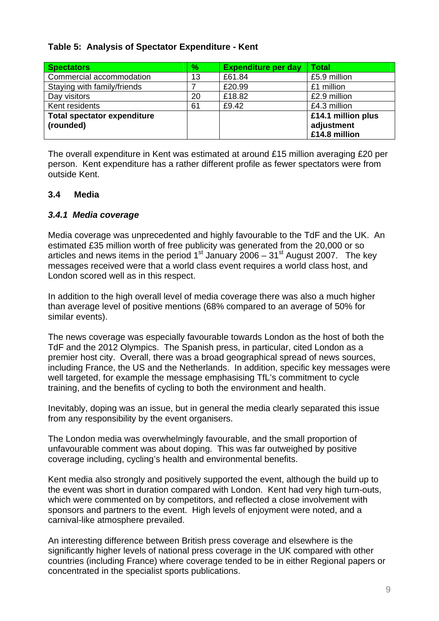#### **Table 5: Analysis of Spectator Expenditure - Kent**

| <b>Spectators</b>                               | $\%$ | <b>Expenditure per day</b> | <b>Total</b>                                      |
|-------------------------------------------------|------|----------------------------|---------------------------------------------------|
| Commercial accommodation                        | 13   | £61.84                     | £5.9 million                                      |
| Staying with family/friends                     |      | £20.99                     | £1 million                                        |
| Day visitors                                    | 20   | £18.82                     | £2.9 million                                      |
| Kent residents                                  | 61   | £9.42                      | £4.3 million                                      |
| <b>Total spectator expenditure</b><br>(rounded) |      |                            | £14.1 million plus<br>adjustment<br>£14.8 million |

The overall expenditure in Kent was estimated at around £15 million averaging £20 per person. Kent expenditure has a rather different profile as fewer spectators were from outside Kent.

#### **3.4 Media**

#### *3.4.1 Media coverage*

Media coverage was unprecedented and highly favourable to the TdF and the UK. An estimated £35 million worth of free publicity was generated from the 20,000 or so articles and news items in the period  $1<sup>st</sup>$  January 2006 –  $31<sup>st</sup>$  August 2007. The key messages received were that a world class event requires a world class host, and London scored well as in this respect.

In addition to the high overall level of media coverage there was also a much higher than average level of positive mentions (68% compared to an average of 50% for similar events).

The news coverage was especially favourable towards London as the host of both the TdF and the 2012 Olympics. The Spanish press, in particular, cited London as a premier host city. Overall, there was a broad geographical spread of news sources, including France, the US and the Netherlands. In addition, specific key messages were well targeted, for example the message emphasising TfL's commitment to cycle training, and the benefits of cycling to both the environment and health.

Inevitably, doping was an issue, but in general the media clearly separated this issue from any responsibility by the event organisers.

The London media was overwhelmingly favourable, and the small proportion of unfavourable comment was about doping. This was far outweighed by positive coverage including, cycling's health and environmental benefits.

Kent media also strongly and positively supported the event, although the build up to the event was short in duration compared with London. Kent had very high turn-outs, which were commented on by competitors, and reflected a close involvement with sponsors and partners to the event. High levels of enjoyment were noted, and a carnival-like atmosphere prevailed.

An interesting difference between British press coverage and elsewhere is the significantly higher levels of national press coverage in the UK compared with other countries (including France) where coverage tended to be in either Regional papers or concentrated in the specialist sports publications.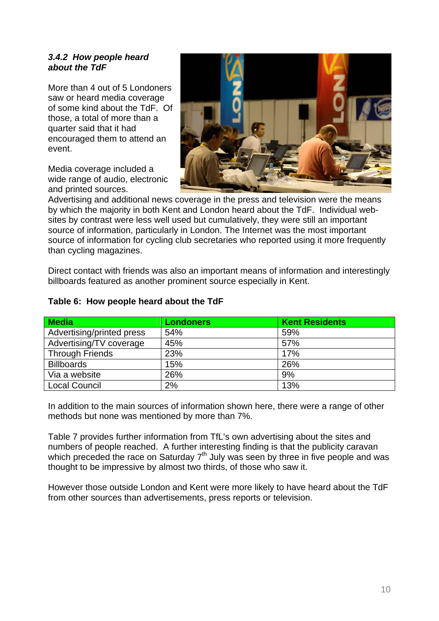#### *3.4.2 How people heard about the TdF*

More than 4 out of 5 Londoners saw or heard media coverage of some kind about the TdF. Of those, a total of more than a quarter said that it had encouraged them to attend an event.

Media coverage included a wide range of audio, electronic and printed sources.



Advertising and additional news coverage in the press and television were the means by which the majority in both Kent and London heard about the TdF. Individual websites by contrast were less well used but cumulatively, they were still an important source of information, particularly in London. The Internet was the most important source of information for cycling club secretaries who reported using it more frequently than cycling magazines.

Direct contact with friends was also an important means of information and interestingly billboards featured as another prominent source especially in Kent.

| Media                     | <b>Londoners</b> | <b>Kent Residents</b> |
|---------------------------|------------------|-----------------------|
| Advertising/printed press | 54%              | 59%                   |
| Advertising/TV coverage   | 45%              | 57%                   |
| <b>Through Friends</b>    | 23%              | 17%                   |
| <b>Billboards</b>         | 15%              | 26%                   |
| Via a website             | 26%              | 9%                    |
| <b>Local Council</b>      | 2%               | 13%                   |

#### **Table 6: How people heard about the TdF**

In addition to the main sources of information shown here, there were a range of other methods but none was mentioned by more than 7%.

Table 7 provides further information from TfL's own advertising about the sites and numbers of people reached. A further interesting finding is that the publicity caravan which preceded the race on Saturday  $7<sup>th</sup>$  July was seen by three in five people and was thought to be impressive by almost two thirds, of those who saw it.

However those outside London and Kent were more likely to have heard about the TdF from other sources than advertisements, press reports or television.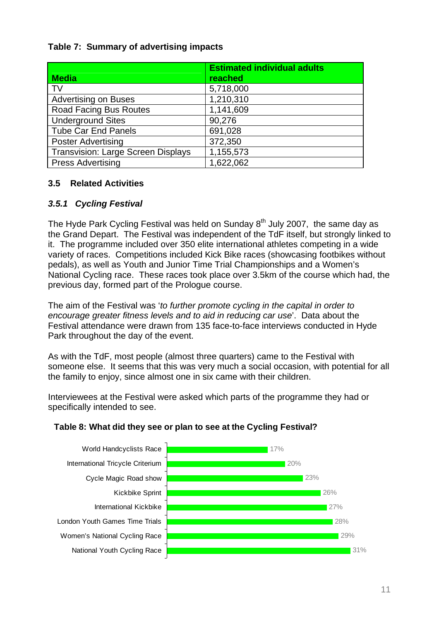#### **Table 7: Summary of advertising impacts**

|                                           | <b>Estimated individual adults</b> |
|-------------------------------------------|------------------------------------|
| <b>Media</b>                              | reached                            |
| <b>TV</b>                                 | 5,718,000                          |
| <b>Advertising on Buses</b>               | 1,210,310                          |
| <b>Road Facing Bus Routes</b>             | 1,141,609                          |
| <b>Underground Sites</b>                  | 90,276                             |
| <b>Tube Car End Panels</b>                | 691,028                            |
| <b>Poster Advertising</b>                 | 372,350                            |
| <b>Transvision: Large Screen Displays</b> | 1,155,573                          |
| <b>Press Advertising</b>                  | 1,622,062                          |

#### **3.5 Related Activities**

# *3.5.1 Cycling Festival*

The Hyde Park Cycling Festival was held on Sunday  $8<sup>th</sup>$  July 2007, the same day as the Grand Depart. The Festival was independent of the TdF itself, but strongly linked to it. The programme included over 350 elite international athletes competing in a wide variety of races. Competitions included Kick Bike races (showcasing footbikes without pedals), as well as Youth and Junior Time Trial Championships and a Women's National Cycling race. These races took place over 3.5km of the course which had, the previous day, formed part of the Prologue course.

The aim of the Festival was '*to further promote cycling in the capital in order to encourage greater fitness levels and to aid in reducing car use*'. Data about the Festival attendance were drawn from 135 face-to-face interviews conducted in Hyde Park throughout the day of the event.

As with the TdF, most people (almost three quarters) came to the Festival with someone else. It seems that this was very much a social occasion, with potential for all the family to enjoy, since almost one in six came with their children.

Interviewees at the Festival were asked which parts of the programme they had or specifically intended to see.

#### **Table 8: What did they see or plan to see at the Cycling Festival?**

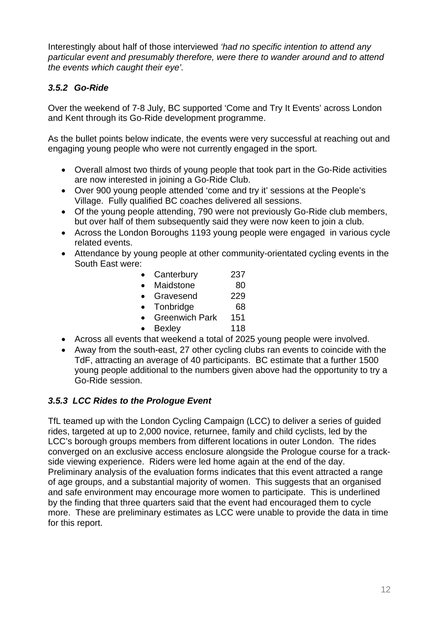Interestingly about half of those interviewed *'had no specific intention to attend any particular event and presumably therefore, were there to wander around and to attend the events which caught their eye'.* 

# *3.5.2 Go-Ride*

Over the weekend of 7-8 July, BC supported 'Come and Try It Events' across London and Kent through its Go-Ride development programme.

As the bullet points below indicate, the events were very successful at reaching out and engaging young people who were not currently engaged in the sport.

- Overall almost two thirds of young people that took part in the Go-Ride activities are now interested in joining a Go-Ride Club.
- Over 900 young people attended 'come and try it' sessions at the People's Village. Fully qualified BC coaches delivered all sessions.
- Of the young people attending, 790 were not previously Go-Ride club members, but over half of them subsequently said they were now keen to join a club.
- Across the London Boroughs 1193 young people were engaged in various cycle related events.
- Attendance by young people at other community-orientated cycling events in the South East were:

| Canterbury                    | 237 |
|-------------------------------|-----|
| Maidstone                     | 80  |
| Gravesend                     | 229 |
| Tonbridge                     | 68  |
| <b>Greenwich Park</b>         | 151 |
| <b>Bexley</b>                 | 118 |
| that weekend a total of 2025: |     |

- Across all events that weekend a total of 2025 young people were involved.
- Away from the south-east, 27 other cycling clubs ran events to coincide with the TdF, attracting an average of 40 participants. BC estimate that a further 1500 young people additional to the numbers given above had the opportunity to try a Go-Ride session.

#### *3.5.3 LCC Rides to the Prologue Event*

TfL teamed up with the London Cycling Campaign (LCC) to deliver a series of guided rides, targeted at up to 2,000 novice, returnee, family and child cyclists, led by the LCC's borough groups members from different locations in outer London. The rides converged on an exclusive access enclosure alongside the Prologue course for a trackside viewing experience. Riders were led home again at the end of the day. Preliminary analysis of the evaluation forms indicates that this event attracted a range of age groups, and a substantial majority of women. This suggests that an organised and safe environment may encourage more women to participate. This is underlined by the finding that three quarters said that the event had encouraged them to cycle more. These are preliminary estimates as LCC were unable to provide the data in time for this report.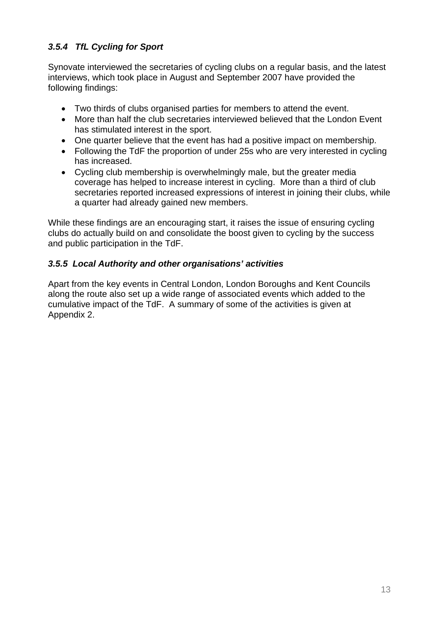# *3.5.4 TfL Cycling for Sport*

Synovate interviewed the secretaries of cycling clubs on a regular basis, and the latest interviews, which took place in August and September 2007 have provided the following findings:

- Two thirds of clubs organised parties for members to attend the event.
- More than half the club secretaries interviewed believed that the London Event has stimulated interest in the sport.
- One quarter believe that the event has had a positive impact on membership.
- Following the TdF the proportion of under 25s who are very interested in cycling has increased.
- Cycling club membership is overwhelmingly male, but the greater media coverage has helped to increase interest in cycling. More than a third of club secretaries reported increased expressions of interest in joining their clubs, while a quarter had already gained new members.

While these findings are an encouraging start, it raises the issue of ensuring cycling clubs do actually build on and consolidate the boost given to cycling by the success and public participation in the TdF.

# *3.5.5 Local Authority and other organisations' activities*

Apart from the key events in Central London, London Boroughs and Kent Councils along the route also set up a wide range of associated events which added to the cumulative impact of the TdF. A summary of some of the activities is given at Appendix 2.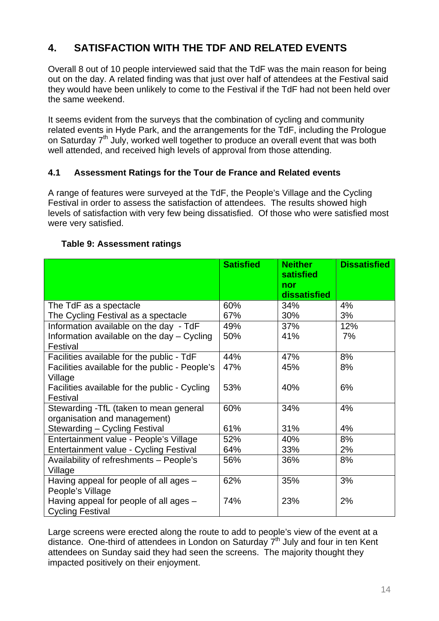# **4. SATISFACTION WITH THE TDF AND RELATED EVENTS**

Overall 8 out of 10 people interviewed said that the TdF was the main reason for being out on the day. A related finding was that just over half of attendees at the Festival said they would have been unlikely to come to the Festival if the TdF had not been held over the same weekend.

It seems evident from the surveys that the combination of cycling and community related events in Hyde Park, and the arrangements for the TdF, including the Prologue on Saturday 7<sup>th</sup> July, worked well together to produce an overall event that was both well attended, and received high levels of approval from those attending.

#### **4.1 Assessment Ratings for the Tour de France and Related events**

A range of features were surveyed at the TdF, the People's Village and the Cycling Festival in order to assess the satisfaction of attendees. The results showed high levels of satisfaction with very few being dissatisfied. Of those who were satisfied most were very satisfied.

|                                                | <b>Satisfied</b> | <b>Neither</b><br>satisfied | <b>Dissatisfied</b> |
|------------------------------------------------|------------------|-----------------------------|---------------------|
|                                                |                  | nor<br>dissatisfied         |                     |
| The TdF as a spectacle                         | 60%              | 34%                         | 4%                  |
| The Cycling Festival as a spectacle            | 67%              | 30%                         | 3%                  |
| Information available on the day - TdF         | 49%              | 37%                         | 12%                 |
| Information available on the day - Cycling     | 50%              | 41%                         | 7%                  |
| Festival                                       |                  |                             |                     |
| Facilities available for the public - TdF      | 44%              | 47%                         | 8%                  |
| Facilities available for the public - People's | 47%              | 45%                         | 8%                  |
| Village                                        |                  |                             |                     |
| Facilities available for the public - Cycling  | 53%              | 40%                         | 6%                  |
| Festival                                       |                  |                             |                     |
| Stewarding - TfL (taken to mean general        | 60%              | 34%                         | 4%                  |
| organisation and management)                   |                  |                             |                     |
| Stewarding - Cycling Festival                  | 61%              | 31%                         | 4%                  |
| Entertainment value - People's Village         | 52%              | 40%                         | 8%                  |
| Entertainment value - Cycling Festival         | 64%              | 33%                         | 2%                  |
| Availability of refreshments - People's        | 56%              | 36%                         | 8%                  |
| Village                                        |                  |                             |                     |
| Having appeal for people of all ages $-$       | 62%              | 35%                         | 3%                  |
| People's Village                               |                  |                             |                     |
| Having appeal for people of all ages $-$       | 74%              | 23%                         | 2%                  |
| <b>Cycling Festival</b>                        |                  |                             |                     |

#### **Table 9: Assessment ratings**

Large screens were erected along the route to add to people's view of the event at a distance. One-third of attendees in London on Saturday  $7<sup>th</sup>$  July and four in ten Kent attendees on Sunday said they had seen the screens. The majority thought they impacted positively on their enjoyment.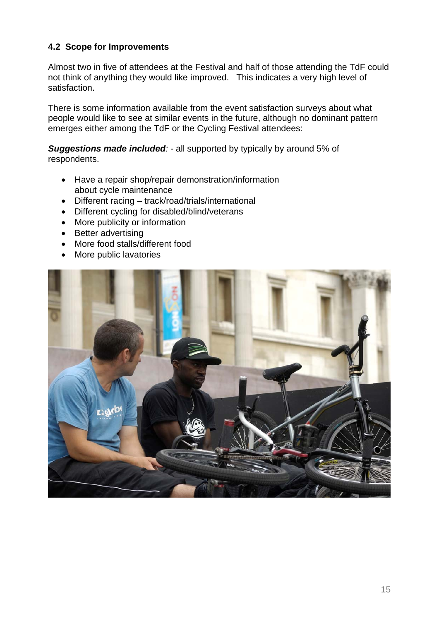# **4.2 Scope for Improvements**

Almost two in five of attendees at the Festival and half of those attending the TdF could not think of anything they would like improved. This indicates a very high level of satisfaction.

There is some information available from the event satisfaction surveys about what people would like to see at similar events in the future, although no dominant pattern emerges either among the TdF or the Cycling Festival attendees:

*Suggestions made included:* - all supported by typically by around 5% of respondents.

- Have a repair shop/repair demonstration/information about cycle maintenance
- Different racing track/road/trials/international
- Different cycling for disabled/blind/veterans
- More publicity or information
- Better advertising
- More food stalls/different food
- More public lavatories

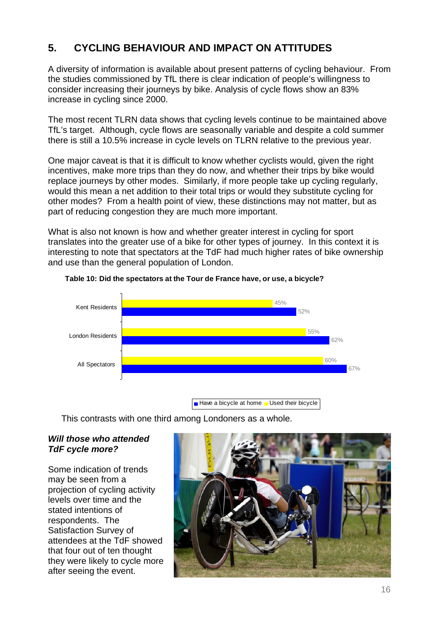# **5. CYCLING BEHAVIOUR AND IMPACT ON ATTITUDES**

A diversity of information is available about present patterns of cycling behaviour. From the studies commissioned by TfL there is clear indication of people's willingness to consider increasing their journeys by bike. Analysis of cycle flows show an 83% increase in cycling since 2000.

The most recent TLRN data shows that cycling levels continue to be maintained above TfL's target. Although, cycle flows are seasonally variable and despite a cold summer there is still a 10.5% increase in cycle levels on TLRN relative to the previous year.

One major caveat is that it is difficult to know whether cyclists would, given the right incentives, make more trips than they do now, and whether their trips by bike would replace journeys by other modes. Similarly, if more people take up cycling regularly, would this mean a net addition to their total trips or would they substitute cycling for other modes? From a health point of view, these distinctions may not matter, but as part of reducing congestion they are much more important.

What is also not known is how and whether greater interest in cycling for sport translates into the greater use of a bike for other types of journey. In this context it is interesting to note that spectators at the TdF had much higher rates of bike ownership and use than the general population of London.



#### **Table 10: Did the spectators at the Tour de France have, or use, a bicycle?**

This contrasts with one third among Londoners as a whole.

#### *Will those who attended TdF cycle more?*

Some indication of trends may be seen from a projection of cycling activity levels over time and the stated intentions of respondents. The Satisfaction Survey of attendees at the TdF showed that four out of ten thought they were likely to cycle more after seeing the event.

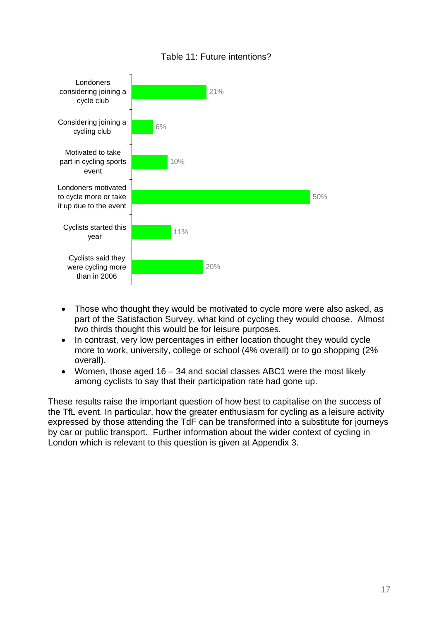#### Table 11: Future intentions?



- Those who thought they would be motivated to cycle more were also asked, as part of the Satisfaction Survey, what kind of cycling they would choose. Almost two thirds thought this would be for leisure purposes.
- In contrast, very low percentages in either location thought they would cycle more to work, university, college or school (4% overall) or to go shopping (2% overall).
- Women, those aged 16 34 and social classes ABC1 were the most likely among cyclists to say that their participation rate had gone up.

These results raise the important question of how best to capitalise on the success of the TfL event. In particular, how the greater enthusiasm for cycling as a leisure activity expressed by those attending the TdF can be transformed into a substitute for journeys by car or public transport. Further information about the wider context of cycling in London which is relevant to this question is given at Appendix 3.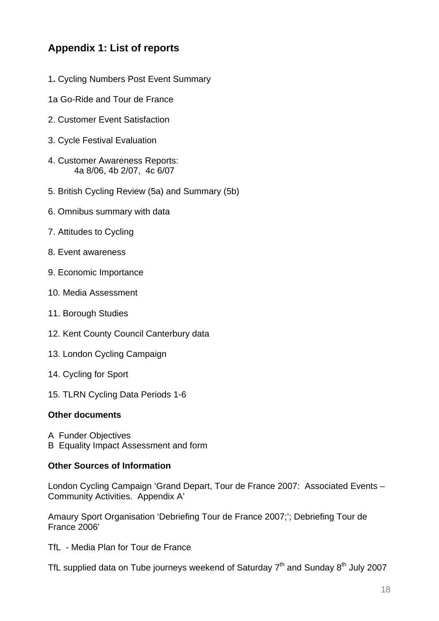# **Appendix 1: List of reports**

- 1**.** Cycling Numbers Post Event Summary
- 1a Go-Ride and Tour de France
- 2. Customer Event Satisfaction
- 3. Cycle Festival Evaluation
- 4. Customer Awareness Reports: 4a 8/06, 4b 2/07, 4c 6/07
- 5. British Cycling Review (5a) and Summary (5b)
- 6. Omnibus summary with data
- 7. Attitudes to Cycling
- 8. Event awareness
- 9. Economic Importance
- 10. Media Assessment
- 11. Borough Studies
- 12. Kent County Council Canterbury data
- 13. London Cycling Campaign
- 14. Cycling for Sport
- 15. TLRN Cycling Data Periods 1-6

#### **Other documents**

- A Funder Objectives
- B Equality Impact Assessment and form

#### **Other Sources of Information**

London Cycling Campaign 'Grand Depart, Tour de France 2007: Associated Events – Community Activities. Appendix A'

Amaury Sport Organisation 'Debriefing Tour de France 2007;'; Debriefing Tour de France 2006'

TfL - Media Plan for Tour de France

TfL supplied data on Tube journeys weekend of Saturday  $7<sup>th</sup>$  and Sunday  $8<sup>th</sup>$  July 2007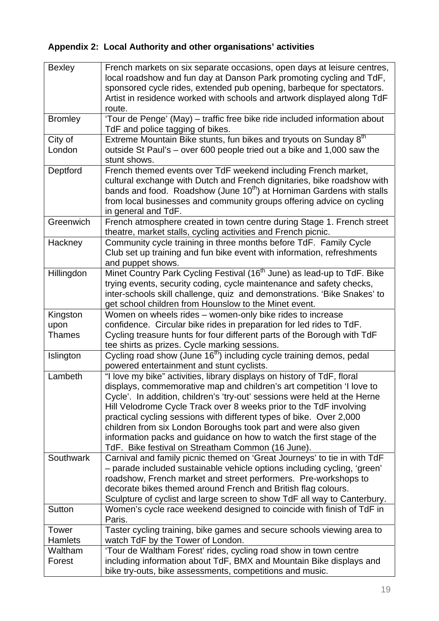# **Appendix 2: Local Authority and other organisations' activities**

| <b>Bexley</b>                     | French markets on six separate occasions, open days at leisure centres,<br>local roadshow and fun day at Danson Park promoting cycling and TdF,<br>sponsored cycle rides, extended pub opening, barbeque for spectators.<br>Artist in residence worked with schools and artwork displayed along TdF<br>route.                                                                                                                                                                                                                                                               |
|-----------------------------------|-----------------------------------------------------------------------------------------------------------------------------------------------------------------------------------------------------------------------------------------------------------------------------------------------------------------------------------------------------------------------------------------------------------------------------------------------------------------------------------------------------------------------------------------------------------------------------|
| <b>Bromley</b>                    | 'Tour de Penge' (May) - traffic free bike ride included information about<br>TdF and police tagging of bikes.                                                                                                                                                                                                                                                                                                                                                                                                                                                               |
| City of<br>London                 | Extreme Mountain Bike stunts, fun bikes and tryouts on Sunday 8 <sup>th</sup><br>outside St Paul's - over 600 people tried out a bike and 1,000 saw the<br>stunt shows.                                                                                                                                                                                                                                                                                                                                                                                                     |
| Deptford                          | French themed events over TdF weekend including French market,<br>cultural exchange with Dutch and French dignitaries, bike roadshow with<br>bands and food. Roadshow (June 10 <sup>th</sup> ) at Horniman Gardens with stalls<br>from local businesses and community groups offering advice on cycling<br>in general and TdF.                                                                                                                                                                                                                                              |
| Greenwich                         | French atmosphere created in town centre during Stage 1. French street<br>theatre, market stalls, cycling activities and French picnic.                                                                                                                                                                                                                                                                                                                                                                                                                                     |
| Hackney                           | Community cycle training in three months before TdF. Family Cycle<br>Club set up training and fun bike event with information, refreshments<br>and puppet shows.                                                                                                                                                                                                                                                                                                                                                                                                            |
| Hillingdon                        | Minet Country Park Cycling Festival (16 <sup>th</sup> June) as lead-up to TdF. Bike<br>trying events, security coding, cycle maintenance and safety checks,<br>inter-schools skill challenge, quiz and demonstrations. 'Bike Snakes' to<br>get school children from Hounslow to the Minet event.                                                                                                                                                                                                                                                                            |
| Kingston<br>upon<br><b>Thames</b> | Women on wheels rides - women-only bike rides to increase<br>confidence. Circular bike rides in preparation for led rides to TdF.<br>Cycling treasure hunts for four different parts of the Borough with TdF<br>tee shirts as prizes. Cycle marking sessions.                                                                                                                                                                                                                                                                                                               |
| Islington                         | Cycling road show (June 16 <sup>th</sup> ) including cycle training demos, pedal<br>powered entertainment and stunt cyclists.                                                                                                                                                                                                                                                                                                                                                                                                                                               |
| Lambeth                           | "I love my bike" activities, library displays on history of TdF, floral<br>displays, commemorative map and children's art competition 'I love to<br>Cycle'. In addition, children's 'try-out' sessions were held at the Herne<br>Hill Velodrome Cycle Track over 8 weeks prior to the TdF involving<br>practical cycling sessions with different types of bike. Over 2,000<br>children from six London Boroughs took part and were also given<br>information packs and guidance on how to watch the first stage of the<br>TdF. Bike festival on Streatham Common (16 June). |
| Southwark                         | Carnival and family picnic themed on 'Great Journeys' to tie in with TdF<br>- parade included sustainable vehicle options including cycling, 'green'<br>roadshow, French market and street performers. Pre-workshops to<br>decorate bikes themed around French and British flag colours.<br>Sculpture of cyclist and large screen to show TdF all way to Canterbury.                                                                                                                                                                                                        |
| Sutton                            | Women's cycle race weekend designed to coincide with finish of TdF in<br>Paris.                                                                                                                                                                                                                                                                                                                                                                                                                                                                                             |
| <b>Tower</b><br>Hamlets           | Taster cycling training, bike games and secure schools viewing area to<br>watch TdF by the Tower of London.                                                                                                                                                                                                                                                                                                                                                                                                                                                                 |
| Waltham<br>Forest                 | 'Tour de Waltham Forest' rides, cycling road show in town centre<br>including information about TdF, BMX and Mountain Bike displays and<br>bike try-outs, bike assessments, competitions and music.                                                                                                                                                                                                                                                                                                                                                                         |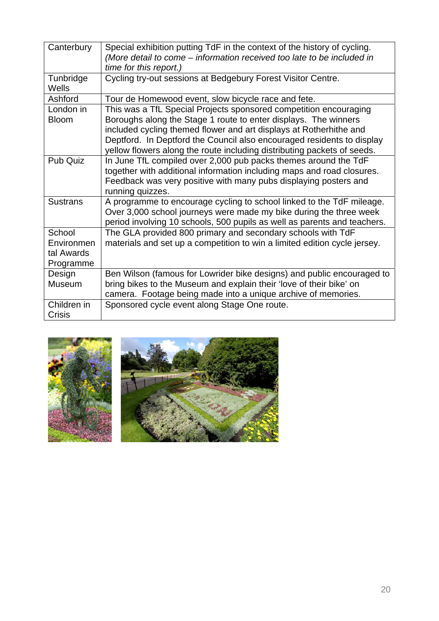| Canterbury                                      | Special exhibition putting TdF in the context of the history of cycling.<br>(More detail to come - information received too late to be included in<br>time for this report.)                                                                                                                                                                                    |
|-------------------------------------------------|-----------------------------------------------------------------------------------------------------------------------------------------------------------------------------------------------------------------------------------------------------------------------------------------------------------------------------------------------------------------|
| Tunbridge<br>Wells                              | Cycling try-out sessions at Bedgebury Forest Visitor Centre.                                                                                                                                                                                                                                                                                                    |
| Ashford                                         | Tour de Homewood event, slow bicycle race and fete.                                                                                                                                                                                                                                                                                                             |
| London in<br><b>Bloom</b>                       | This was a TfL Special Projects sponsored competition encouraging<br>Boroughs along the Stage 1 route to enter displays. The winners<br>included cycling themed flower and art displays at Rotherhithe and<br>Deptford. In Deptford the Council also encouraged residents to display<br>yellow flowers along the route including distributing packets of seeds. |
| Pub Quiz                                        | In June TfL compiled over 2,000 pub packs themes around the TdF<br>together with additional information including maps and road closures.<br>Feedback was very positive with many pubs displaying posters and<br>running quizzes.                                                                                                                               |
| <b>Sustrans</b>                                 | A programme to encourage cycling to school linked to the TdF mileage.<br>Over 3,000 school journeys were made my bike during the three week<br>period involving 10 schools, 500 pupils as well as parents and teachers.                                                                                                                                         |
| School<br>Environmen<br>tal Awards<br>Programme | The GLA provided 800 primary and secondary schools with TdF<br>materials and set up a competition to win a limited edition cycle jersey.                                                                                                                                                                                                                        |
| Design<br>Museum                                | Ben Wilson (famous for Lowrider bike designs) and public encouraged to<br>bring bikes to the Museum and explain their 'love of their bike' on<br>camera. Footage being made into a unique archive of memories.                                                                                                                                                  |
| Children in<br>Crisis                           | Sponsored cycle event along Stage One route.                                                                                                                                                                                                                                                                                                                    |

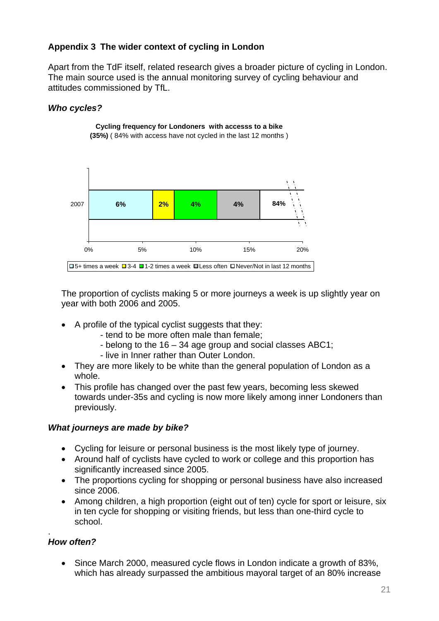# **Appendix 3 The wider context of cycling in London**

Apart from the TdF itself, related research gives a broader picture of cycling in London. The main source used is the annual monitoring survey of cycling behaviour and attitudes commissioned by TfL.

# *Who cycles?*



**Cycling frequency for Londoners with accesss to a bike (35%)** ( 84% with access have not cycled in the last 12 months )

The proportion of cyclists making 5 or more journeys a week is up slightly year on year with both 2006 and 2005.

- A profile of the typical cyclist suggests that they:
	- tend to be more often male than female;
	- belong to the 16 34 age group and social classes ABC1;
	- live in Inner rather than Outer London.
- They are more likely to be white than the general population of London as a whole.
- This profile has changed over the past few years, becoming less skewed towards under-35s and cycling is now more likely among inner Londoners than previously.

#### *What journeys are made by bike?*

- Cycling for leisure or personal business is the most likely type of journey.
- Around half of cyclists have cycled to work or college and this proportion has significantly increased since 2005.
- The proportions cycling for shopping or personal business have also increased since 2006.
- Among children, a high proportion (eight out of ten) cycle for sport or leisure, six in ten cycle for shopping or visiting friends, but less than one-third cycle to school.

#### . *How often?*

• Since March 2000, measured cycle flows in London indicate a growth of 83%, which has already surpassed the ambitious mayoral target of an 80% increase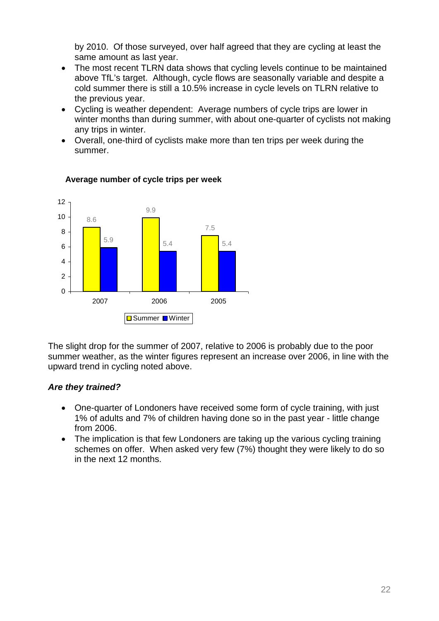by 2010. Of those surveyed, over half agreed that they are cycling at least the same amount as last year.

- The most recent TLRN data shows that cycling levels continue to be maintained above TfL's target. Although, cycle flows are seasonally variable and despite a cold summer there is still a 10.5% increase in cycle levels on TLRN relative to the previous year.
- Cycling is weather dependent: Average numbers of cycle trips are lower in winter months than during summer, with about one-quarter of cyclists not making any trips in winter.
- Overall, one-third of cyclists make more than ten trips per week during the summer.



#### **Average number of cycle trips per week**

The slight drop for the summer of 2007, relative to 2006 is probably due to the poor summer weather, as the winter figures represent an increase over 2006, in line with the upward trend in cycling noted above.

# *Are they trained?*

- One-quarter of Londoners have received some form of cycle training, with just 1% of adults and 7% of children having done so in the past year - little change from 2006.
- The implication is that few Londoners are taking up the various cycling training schemes on offer. When asked very few (7%) thought they were likely to do so in the next 12 months.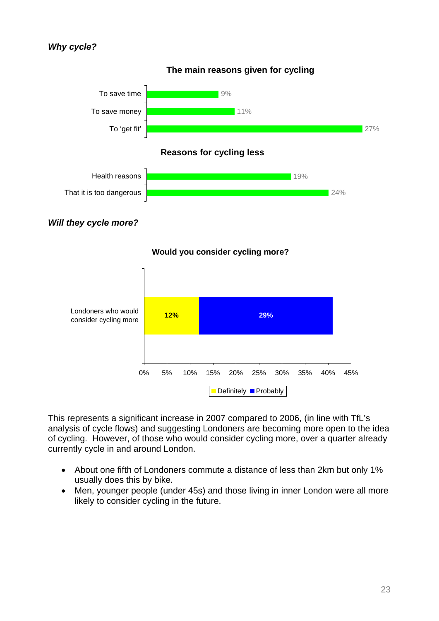#### *Why cycle?*







This represents a significant increase in 2007 compared to 2006, (in line with TfL's analysis of cycle flows) and suggesting Londoners are becoming more open to the idea of cycling. However, of those who would consider cycling more, over a quarter already currently cycle in and around London.

- About one fifth of Londoners commute a distance of less than 2km but only 1% usually does this by bike.
- Men, younger people (under 45s) and those living in inner London were all more likely to consider cycling in the future.